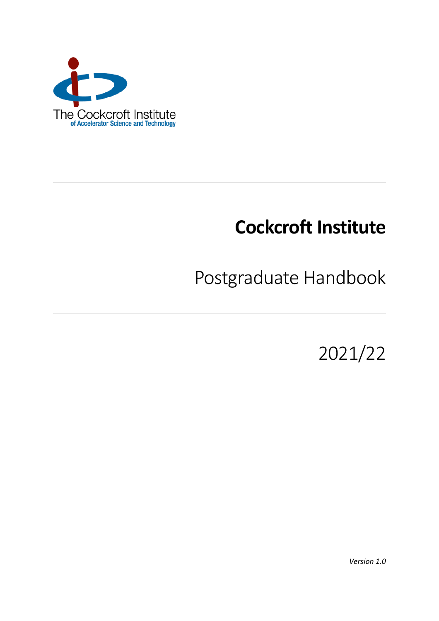

# **Cockcroft Institute**

## Postgraduate Handbook

2021/22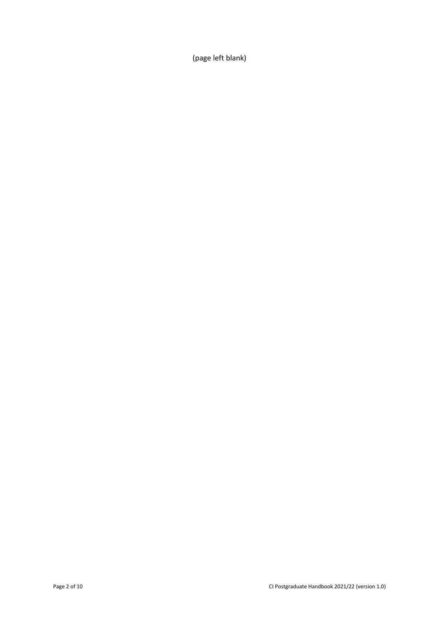(page left blank)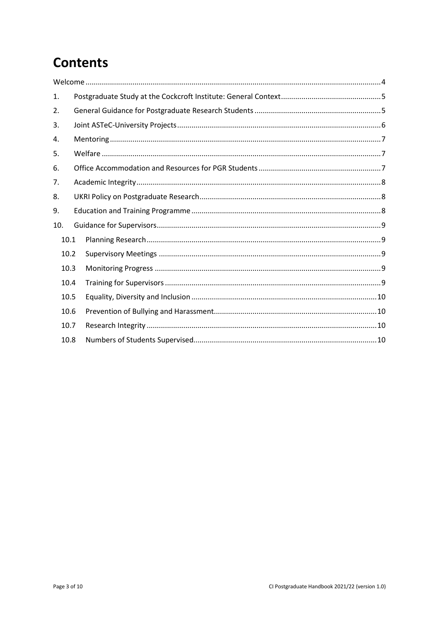## **Contents**

| 1.   |      |  |  |  |
|------|------|--|--|--|
| 2.   |      |  |  |  |
| 3.   |      |  |  |  |
| 4.   |      |  |  |  |
| 5.   |      |  |  |  |
| 6.   |      |  |  |  |
| 7.   |      |  |  |  |
| 8.   |      |  |  |  |
| 9.   |      |  |  |  |
| 10.  |      |  |  |  |
| 10.1 |      |  |  |  |
| 10.2 |      |  |  |  |
|      | 10.3 |  |  |  |
| 10.4 |      |  |  |  |
| 10.5 |      |  |  |  |
| 10.6 |      |  |  |  |
| 10.7 |      |  |  |  |
|      | 10.8 |  |  |  |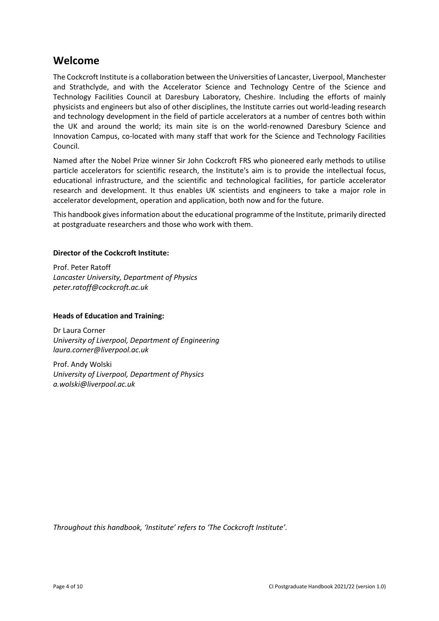#### <span id="page-3-0"></span>**Welcome**

The Cockcroft Institute is a collaboration between the Universities of Lancaster, Liverpool, Manchester and Strathclyde, and with the Accelerator Science and Technology Centre of the Science and Technology Facilities Council at Daresbury Laboratory, Cheshire. Including the efforts of mainly physicists and engineers but also of other disciplines, the Institute carries out world-leading research and technology development in the field of particle accelerators at a number of centres both within the UK and around the world; its main site is on the world-renowned Daresbury Science and Innovation Campus, co-located with many staff that work for the Science and Technology Facilities Council.

Named after the Nobel Prize winner Sir John Cockcroft FRS who pioneered early methods to utilise particle accelerators for scientific research, the Institute's aim is to provide the intellectual focus, educational infrastructure, and the scientific and technological facilities, for particle accelerator research and development. It thus enables UK scientists and engineers to take a major role in accelerator development, operation and application, both now and for the future.

This handbook gives information about the educational programme of the Institute, primarily directed at postgraduate researchers and those who work with them.

#### **Director of the Cockcroft Institute:**

Prof. Peter Ratoff *Lancaster University, Department of Physics peter.ratoff@cockcroft.ac.uk*

#### **Heads of Education and Training:**

Dr Laura Corner *University of Liverpool, Department of Engineering laura.corner@liverpool.ac.uk*

Prof. Andy Wolski *University of Liverpool, Department of Physics a.wolski@liverpool.ac.uk*

*Throughout this handbook, 'Institute' refers to 'The Cockcroft Institute'.*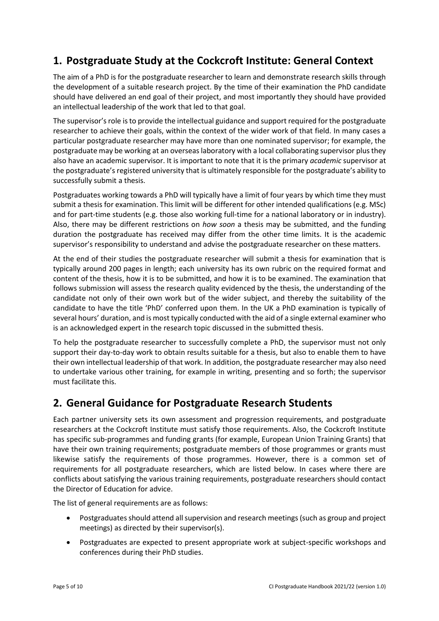## <span id="page-4-0"></span>**1. Postgraduate Study at the Cockcroft Institute: General Context**

The aim of a PhD is for the postgraduate researcher to learn and demonstrate research skills through the development of a suitable research project. By the time of their examination the PhD candidate should have delivered an end goal of their project, and most importantly they should have provided an intellectual leadership of the work that led to that goal.

The supervisor's role is to provide the intellectual guidance and support required for the postgraduate researcher to achieve their goals, within the context of the wider work of that field. In many cases a particular postgraduate researcher may have more than one nominated supervisor; for example, the postgraduate may be working at an overseas laboratory with a local collaborating supervisor plus they also have an academic supervisor. It is important to note that it is the primary *academic* supervisor at the postgraduate's registered university that is ultimately responsible for the postgraduate's ability to successfully submit a thesis.

Postgraduates working towards a PhD will typically have a limit of four years by which time they must submit a thesis for examination. This limit will be different for other intended qualifications (e.g. MSc) and for part-time students (e.g. those also working full-time for a national laboratory or in industry). Also, there may be different restrictions on *how soon* a thesis may be submitted, and the funding duration the postgraduate has received may differ from the other time limits. It is the academic supervisor's responsibility to understand and advise the postgraduate researcher on these matters.

At the end of their studies the postgraduate researcher will submit a thesis for examination that is typically around 200 pages in length; each university has its own rubric on the required format and content of the thesis, how it is to be submitted, and how it is to be examined. The examination that follows submission will assess the research quality evidenced by the thesis, the understanding of the candidate not only of their own work but of the wider subject, and thereby the suitability of the candidate to have the title 'PhD' conferred upon them. In the UK a PhD examination is typically of several hours' duration, and is most typically conducted with the aid of a single external examiner who is an acknowledged expert in the research topic discussed in the submitted thesis.

To help the postgraduate researcher to successfully complete a PhD, the supervisor must not only support their day-to-day work to obtain results suitable for a thesis, but also to enable them to have their own intellectual leadership of that work. In addition, the postgraduate researcher may also need to undertake various other training, for example in writing, presenting and so forth; the supervisor must facilitate this.

## <span id="page-4-1"></span>**2. General Guidance for Postgraduate Research Students**

Each partner university sets its own assessment and progression requirements, and postgraduate researchers at the Cockcroft Institute must satisfy those requirements. Also, the Cockcroft Institute has specific sub-programmes and funding grants (for example, European Union Training Grants) that have their own training requirements; postgraduate members of those programmes or grants must likewise satisfy the requirements of those programmes. However, there is a common set of requirements for all postgraduate researchers, which are listed below. In cases where there are conflicts about satisfying the various training requirements, postgraduate researchers should contact the Director of Education for advice.

The list of general requirements are as follows:

- Postgraduates should attend all supervision and research meetings (such as group and project meetings) as directed by their supervisor(s).
- Postgraduates are expected to present appropriate work at subject-specific workshops and conferences during their PhD studies.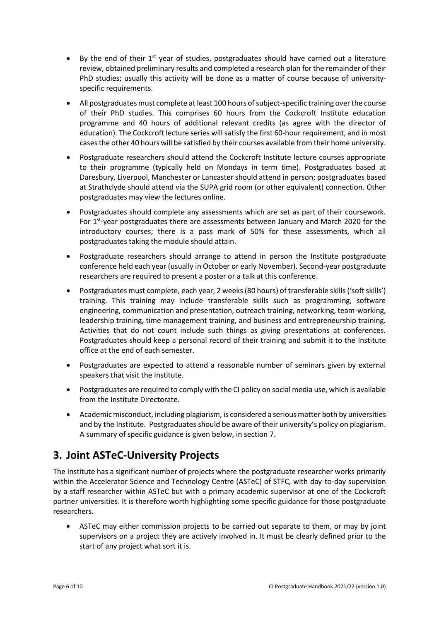- $\bullet$  By the end of their 1<sup>st</sup> year of studies, postgraduates should have carried out a literature review, obtained preliminary results and completed a research plan for the remainder of their PhD studies; usually this activity will be done as a matter of course because of universityspecific requirements.
- All postgraduates must complete at least 100 hours of subject-specific training over the course of their PhD studies. This comprises 60 hours from the Cockcroft Institute education programme and 40 hours of additional relevant credits (as agree with the director of education). The Cockcroft lecture series will satisfy the first 60-hour requirement, and in most cases the other 40 hours will be satisfied by their courses available from their home university.
- Postgraduate researchers should attend the Cockcroft Institute lecture courses appropriate to their programme (typically held on Mondays in term time). Postgraduates based at Daresbury, Liverpool, Manchester or Lancaster should attend in person; postgraduates based at Strathclyde should attend via the SUPA grid room (or other equivalent) connection. Other postgraduates may view the lectures online.
- Postgraduates should complete any assessments which are set as part of their coursework. For 1<sup>st</sup>-year postgraduates there are assessments between January and March 2020 for the introductory courses; there is a pass mark of 50% for these assessments, which all postgraduates taking the module should attain.
- Postgraduate researchers should arrange to attend in person the Institute postgraduate conference held each year (usually in October or early November). Second-year postgraduate researchers are required to present a poster or a talk at this conference.
- Postgraduates must complete, each year, 2 weeks (80 hours) of transferable skills ('soft skills') training. This training may include transferable skills such as programming, software engineering, communication and presentation, outreach training, networking, team-working, leadership training, time management training, and business and entrepreneurship training. Activities that do not count include such things as giving presentations at conferences. Postgraduates should keep a personal record of their training and submit it to the Institute office at the end of each semester.
- Postgraduates are expected to attend a reasonable number of seminars given by external speakers that visit the Institute.
- Postgraduates are required to comply with the CI policy on social media use, which is available from the Institute Directorate.
- Academic misconduct, including plagiarism, is considered a serious matter both by universities and by the Institute. Postgraduates should be aware of their university's policy on plagiarism. A summary of specific guidance is given below, in section [7.](#page-7-0)

## <span id="page-5-0"></span>**3. Joint ASTeC-University Projects**

The Institute has a significant number of projects where the postgraduate researcher works primarily within the Accelerator Science and Technology Centre (ASTeC) of STFC, with day-to-day supervision by a staff researcher within ASTeC but with a primary academic supervisor at one of the Cockcroft partner universities. It is therefore worth highlighting some specific guidance for those postgraduate researchers.

 ASTeC may either commission projects to be carried out separate to them, or may by joint supervisors on a project they are actively involved in. It must be clearly defined prior to the start of any project what sort it is.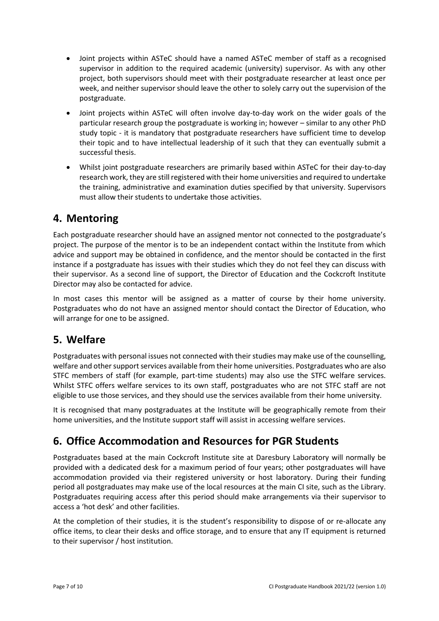- Joint projects within ASTeC should have a named ASTeC member of staff as a recognised supervisor in addition to the required academic (university) supervisor. As with any other project, both supervisors should meet with their postgraduate researcher at least once per week, and neither supervisor should leave the other to solely carry out the supervision of the postgraduate.
- Joint projects within ASTeC will often involve day-to-day work on the wider goals of the particular research group the postgraduate is working in; however – similar to any other PhD study topic - it is mandatory that postgraduate researchers have sufficient time to develop their topic and to have intellectual leadership of it such that they can eventually submit a successful thesis.
- Whilst joint postgraduate researchers are primarily based within ASTeC for their day-to-day research work, they are still registered with their home universities and required to undertake the training, administrative and examination duties specified by that university. Supervisors must allow their students to undertake those activities.

## <span id="page-6-0"></span>**4. Mentoring**

Each postgraduate researcher should have an assigned mentor not connected to the postgraduate's project. The purpose of the mentor is to be an independent contact within the Institute from which advice and support may be obtained in confidence, and the mentor should be contacted in the first instance if a postgraduate has issues with their studies which they do not feel they can discuss with their supervisor. As a second line of support, the Director of Education and the Cockcroft Institute Director may also be contacted for advice.

In most cases this mentor will be assigned as a matter of course by their home university. Postgraduates who do not have an assigned mentor should contact the Director of Education, who will arrange for one to be assigned.

## <span id="page-6-1"></span>**5. Welfare**

Postgraduates with personal issues not connected with their studies may make use of the counselling, welfare and other support services available from their home universities. Postgraduates who are also STFC members of staff (for example, part-time students) may also use the STFC welfare services. Whilst STFC offers welfare services to its own staff, postgraduates who are not STFC staff are not eligible to use those services, and they should use the services available from their home university.

It is recognised that many postgraduates at the Institute will be geographically remote from their home universities, and the Institute support staff will assist in accessing welfare services.

## <span id="page-6-2"></span>**6. Office Accommodation and Resources for PGR Students**

Postgraduates based at the main Cockcroft Institute site at Daresbury Laboratory will normally be provided with a dedicated desk for a maximum period of four years; other postgraduates will have accommodation provided via their registered university or host laboratory. During their funding period all postgraduates may make use of the local resources at the main CI site, such as the Library. Postgraduates requiring access after this period should make arrangements via their supervisor to access a 'hot desk' and other facilities.

At the completion of their studies, it is the student's responsibility to dispose of or re-allocate any office items, to clear their desks and office storage, and to ensure that any IT equipment is returned to their supervisor / host institution.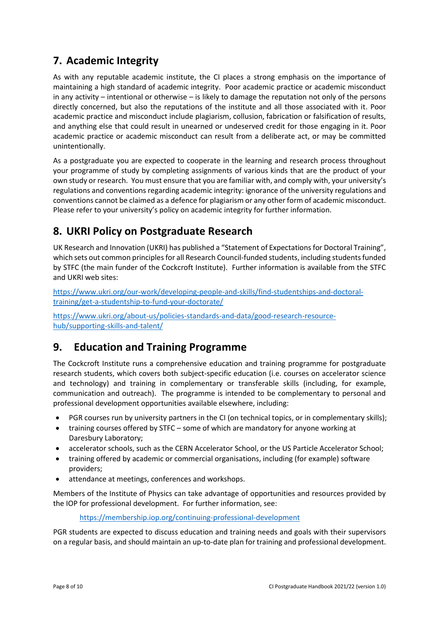## <span id="page-7-0"></span>**7. Academic Integrity**

As with any reputable academic institute, the CI places a strong emphasis on the importance of maintaining a high standard of academic integrity. Poor academic practice or academic misconduct in any activity – intentional or otherwise – is likely to damage the reputation not only of the persons directly concerned, but also the reputations of the institute and all those associated with it. Poor academic practice and misconduct include plagiarism, collusion, fabrication or falsification of results, and anything else that could result in unearned or undeserved credit for those engaging in it. Poor academic practice or academic misconduct can result from a deliberate act, or may be committed unintentionally.

As a postgraduate you are expected to cooperate in the learning and research process throughout your programme of study by completing assignments of various kinds that are the product of your own study or research. You must ensure that you are familiar with, and comply with, your university's regulations and conventions regarding academic integrity: ignorance of the university regulations and conventions cannot be claimed as a defence for plagiarism or any other form of academic misconduct. Please refer to your university's policy on academic integrity for further information.

## <span id="page-7-1"></span>**8. UKRI Policy on Postgraduate Research**

UK Research and Innovation (UKRI) has published a "Statement of Expectations for Doctoral Training", which sets out common principles for all Research Council-funded students, including students funded by STFC (the main funder of the Cockcroft Institute). Further information is available from the STFC and UKRI web sites:

[https://www.ukri.org/our-work/developing-people-and-skills/find-studentships-and-doctoral](https://www.ukri.org/our-work/developing-people-and-skills/find-studentships-and-doctoral-training/get-a-studentship-to-fund-your-doctorate/)[training/get-a-studentship-to-fund-your-doctorate/](https://www.ukri.org/our-work/developing-people-and-skills/find-studentships-and-doctoral-training/get-a-studentship-to-fund-your-doctorate/)

[https://www.ukri.org/about-us/policies-standards-and-data/good-research-resource](https://www.ukri.org/about-us/policies-standards-and-data/good-research-resource-hub/supporting-skills-and-talent/)[hub/supporting-skills-and-talent/](https://www.ukri.org/about-us/policies-standards-and-data/good-research-resource-hub/supporting-skills-and-talent/)

## <span id="page-7-2"></span>**9. Education and Training Programme**

The Cockcroft Institute runs a comprehensive education and training programme for postgraduate research students, which covers both subject-specific education (i.e. courses on accelerator science and technology) and training in complementary or transferable skills (including, for example, communication and outreach). The programme is intended to be complementary to personal and professional development opportunities available elsewhere, including:

- PGR courses run by university partners in the CI (on technical topics, or in complementary skills);
- training courses offered by STFC some of which are mandatory for anyone working at Daresbury Laboratory;
- accelerator schools, such as the CERN Accelerator School, or the US Particle Accelerator School;
- training offered by academic or commercial organisations, including (for example) software providers;
- attendance at meetings, conferences and workshops.

Members of the Institute of Physics can take advantage of opportunities and resources provided by the IOP for professional development. For further information, see:

<https://membership.iop.org/continuing-professional-development>

PGR students are expected to discuss education and training needs and goals with their supervisors on a regular basis, and should maintain an up-to-date plan for training and professional development.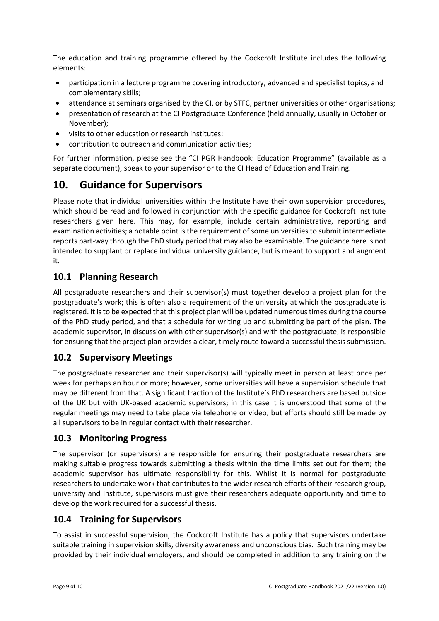The education and training programme offered by the Cockcroft Institute includes the following elements:

- participation in a lecture programme covering introductory, advanced and specialist topics, and complementary skills;
- attendance at seminars organised by the CI, or by STFC, partner universities or other organisations;
- presentation of research at the CI Postgraduate Conference (held annually, usually in October or November);
- visits to other education or research institutes;
- contribution to outreach and communication activities;

For further information, please see the "CI PGR Handbook: Education Programme" (available as a separate document), speak to your supervisor or to the CI Head of Education and Training.

## <span id="page-8-0"></span>**10. Guidance for Supervisors**

Please note that individual universities within the Institute have their own supervision procedures, which should be read and followed in conjunction with the specific guidance for Cockcroft Institute researchers given here. This may, for example, include certain administrative, reporting and examination activities; a notable point is the requirement of some universities to submit intermediate reports part-way through the PhD study period that may also be examinable. The guidance here is not intended to supplant or replace individual university guidance, but is meant to support and augment it.

#### <span id="page-8-1"></span>**10.1 Planning Research**

All postgraduate researchers and their supervisor(s) must together develop a project plan for the postgraduate's work; this is often also a requirement of the university at which the postgraduate is registered. It is to be expected that this project plan will be updated numerous times during the course of the PhD study period, and that a schedule for writing up and submitting be part of the plan. The academic supervisor, in discussion with other supervisor(s) and with the postgraduate, is responsible for ensuring that the project plan provides a clear, timely route toward a successful thesis submission.

#### <span id="page-8-2"></span>**10.2 Supervisory Meetings**

The postgraduate researcher and their supervisor(s) will typically meet in person at least once per week for perhaps an hour or more; however, some universities will have a supervision schedule that may be different from that. A significant fraction of the Institute's PhD researchers are based outside of the UK but with UK-based academic supervisors; in this case it is understood that some of the regular meetings may need to take place via telephone or video, but efforts should still be made by all supervisors to be in regular contact with their researcher.

#### <span id="page-8-3"></span>**10.3 Monitoring Progress**

The supervisor (or supervisors) are responsible for ensuring their postgraduate researchers are making suitable progress towards submitting a thesis within the time limits set out for them; the academic supervisor has ultimate responsibility for this. Whilst it is normal for postgraduate researchers to undertake work that contributes to the wider research efforts of their research group, university and Institute, supervisors must give their researchers adequate opportunity and time to develop the work required for a successful thesis.

#### <span id="page-8-4"></span>**10.4 Training for Supervisors**

To assist in successful supervision, the Cockcroft Institute has a policy that supervisors undertake suitable training in supervision skills, diversity awareness and unconscious bias. Such training may be provided by their individual employers, and should be completed in addition to any training on the